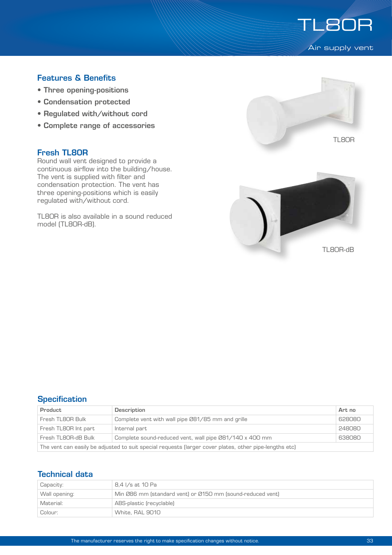

# Features & Benefits

- Three opening-positions
- Condensation protected
- Regulated with/without cord
- Complete range of accessories

### Fresh TL80R

Round wall vent designed to provide a continuous airflow into the building/house. The vent is supplied with filter and condensation protection. The vent has three opening-positions which is easily regulated with/without cord.

TL80R is also available in a sound reduced model (TL80R-dB).





# **Specification**

| Product                                                                                                | Description                                                 | Art no |  |
|--------------------------------------------------------------------------------------------------------|-------------------------------------------------------------|--------|--|
| Fresh TL8OR Bulk                                                                                       | Complete vent with wall pipe 081/85 mm and grille<br>628080 |        |  |
| Fresh TL8OR Int part                                                                                   | Internal part                                               | 248080 |  |
| Fresh TL8OR-dB Bulk                                                                                    | Complete sound-reduced vent, wall pipe Ø81/140 x 400 mm     | 638080 |  |
| The vent can easily be adjusted to suit special requests (larger cover plates, other pipe-lengths etc) |                                                             |        |  |

# Technical data

| Capacity:     | 8.4 I/s at 10 Pa                                           |  |
|---------------|------------------------------------------------------------|--|
| Wall opening: | Min Ø86 mm (standard vent) or Ø150 mm (sound-reduced vent) |  |
| Material:     | ABS-plastic (recyclable)                                   |  |
| Colour:       | White, RAL 9010                                            |  |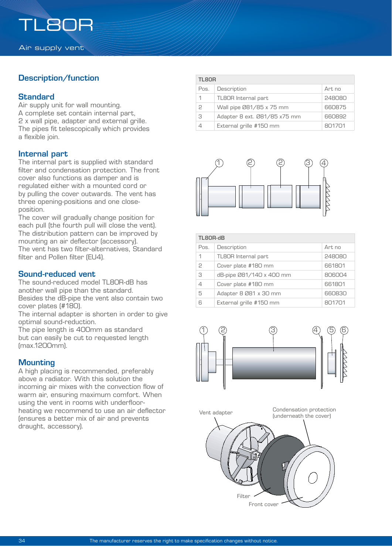# Description/function

### **Standard**

Air supply unit for wall mounting. A complete set contain internal part, 2 x wall pipe, adapter and external grille. The pipes fit telescopically which provides a flexible join.

### Internal part

The internal part is supplied with standard filter and condensation protection. The front cover also functions as damper and is regulated either with a mounted cord or by pulling the cover outwards. The vent has three opening-positions and one closeposition.

The cover will gradually change position for each pull (the fourth pull will close the vent). The distribution pattern can be improved by mounting an air deflector (accessory). The vent has two filter-alternatives, Standard filter and Pollen filter (EU4).

## Sound-reduced vent

The sound-reduced model TL80R-dB has another wall pipe than the standard. Besides the dB-pipe the vent also contain two cover plates (#180).

The internal adapter is shorten in order to give optimal sound-reduction.

The pipe length is 400mm as standard but can easily be cut to requested length (max.1200mm).

# **Mounting**

A high placing is recommended, preferably above a radiator. With this solution the incoming air mixes with the convection flow of warm air, ensuring maximum comfort. When using the vent in rooms with underfloorheating we recommend to use an air deflector (ensures a better mix of air and prevents draught, accessory).

| TL80R |                              |        |
|-------|------------------------------|--------|
| Pos.  | Description                  | Art no |
|       | TL8OR Internal part          | 248080 |
| C     | Wall pipe Ø81/85 x 75 mm     | 660875 |
| З     | Adapter 8 ext. 081/85 x75 mm | 660892 |
|       | External grille #150 mm      | 801701 |



| TL80R-dB |                            |        |  |
|----------|----------------------------|--------|--|
| Pos.     | Description                | Art no |  |
| 1        | <b>TL8OR</b> Internal part | 248080 |  |
| 2        | Cover plate #180 mm        | 661801 |  |
| 3        | dB-pipe 081/140 x 400 mm   | 806004 |  |
|          | Cover plate #180 mm        | 661801 |  |
| 5        | Adapter 8 081 x 30 mm      | 660830 |  |
| ട        | External grille #150 mm    | 801701 |  |





Condensation protection (underneath the cover)

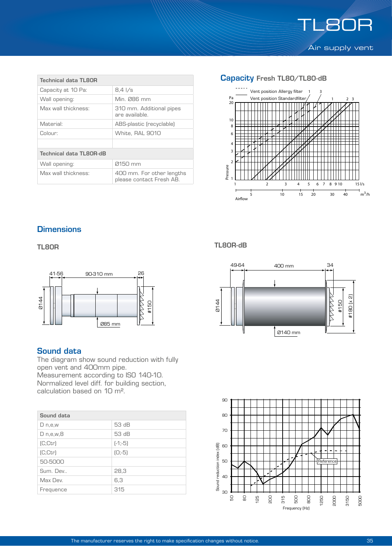

| <b>Technical data TL8OR</b> |                                                       |  |  |
|-----------------------------|-------------------------------------------------------|--|--|
| Capacity at 10 Pa:          | $8.4 \frac{\text{1}}{\text{s}}$                       |  |  |
| Wall opening:               | Min. Ø86 mm                                           |  |  |
| Max wall thickness:         | 310 mm. Additional pipes<br>are available.            |  |  |
| Material:                   | ABS-plastic (recyclable)                              |  |  |
| Colour:                     | White, RAL 9010                                       |  |  |
|                             |                                                       |  |  |
| Technical data TL80R-dB     |                                                       |  |  |
| Wall opening:               | 0150 mm                                               |  |  |
| Max wall thickness:         | 400 mm. For other lengths<br>please contact Fresh AB. |  |  |

#### Capacity Fresh TL80/TL80-dB



# **Dimensions**

TL80R



### Sound data

The diagram show sound reduction with fully open vent and 400mm pipe. Measurement according to ISO 140-10. Normalized level diff. for building section, calculation based on 10 m².

| Sound data     |           |  |
|----------------|-----------|--|
| D n,e,w        | 53 dB     |  |
| $D$ n,e,w, $B$ | 53 dB     |  |
| [C:ctr]        | $[-1,-5]$ |  |
| [C;ctr]        | $[0,-5]$  |  |
| 50-5000        |           |  |
| Sum. Dev       | 28,3      |  |
| Max Dev.       | 6,3       |  |
| Frequence      | 315       |  |

TL80R-dB